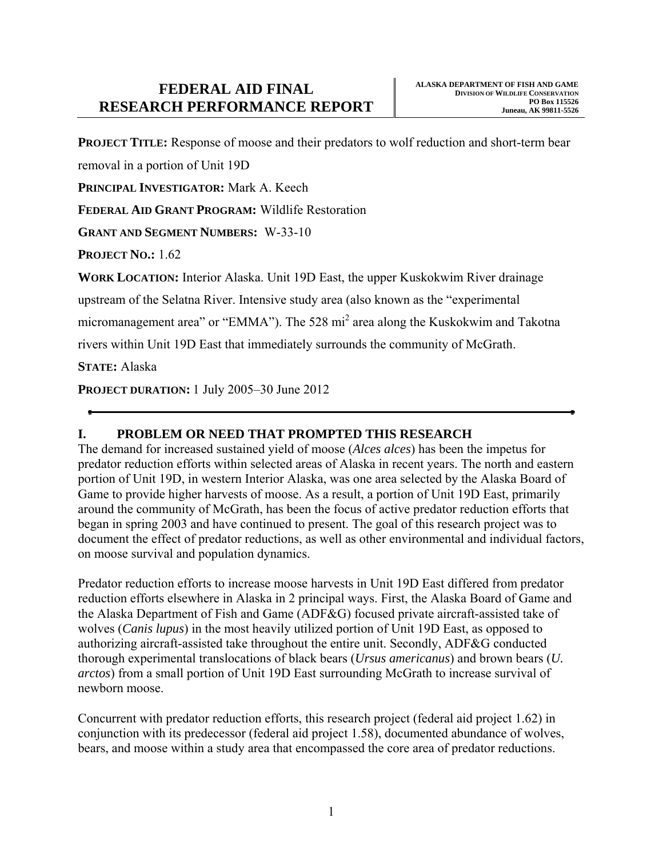**PROJECT TITLE:** Response of moose and their predators to wolf reduction and short-term bear

removal in a portion of Unit 19D

**PRINCIPAL INVESTIGATOR:** Mark A. Keech

**FEDERAL AID GRANT PROGRAM:** Wildlife Restoration

**GRANT AND SEGMENT NUMBERS:** W-33-10

**PROJECT NO.: 1.62** 

**WORK LOCATION:** Interior Alaska. Unit 19D East, the upper Kuskokwim River drainage

upstream of the Selatna River. Intensive study area (also known as the "experimental

micromanagement area" or "EMMA"). The 528 mi<sup>2</sup> area along the Kuskokwim and Takotna

rivers within Unit 19D East that immediately surrounds the community of McGrath.

**STATE:** Alaska

**PROJECT DURATION:** 1 July 2005–30 June 2012

# **I. PROBLEM OR NEED THAT PROMPTED THIS RESEARCH**

The demand for increased sustained yield of moose (*Alces alces*) has been the impetus for predator reduction efforts within selected areas of Alaska in recent years. The north and eastern portion of Unit 19D, in western Interior Alaska, was one area selected by the Alaska Board of Game to provide higher harvests of moose. As a result, a portion of Unit 19D East, primarily around the community of McGrath, has been the focus of active predator reduction efforts that began in spring 2003 and have continued to present. The goal of this research project was to document the effect of predator reductions, as well as other environmental and individual factors, on moose survival and population dynamics.

Predator reduction efforts to increase moose harvests in Unit 19D East differed from predator reduction efforts elsewhere in Alaska in 2 principal ways. First, the Alaska Board of Game and the Alaska Department of Fish and Game (ADF&G) focused private aircraft-assisted take of wolves (*Canis lupus*) in the most heavily utilized portion of Unit 19D East, as opposed to authorizing aircraft-assisted take throughout the entire unit. Secondly, ADF&G conducted thorough experimental translocations of black bears (*Ursus americanus*) and brown bears (*U. arctos*) from a small portion of Unit 19D East surrounding McGrath to increase survival of newborn moose.

Concurrent with predator reduction efforts, this research project (federal aid project 1.62) in conjunction with its predecessor (federal aid project 1.58), documented abundance of wolves, bears, and moose within a study area that encompassed the core area of predator reductions.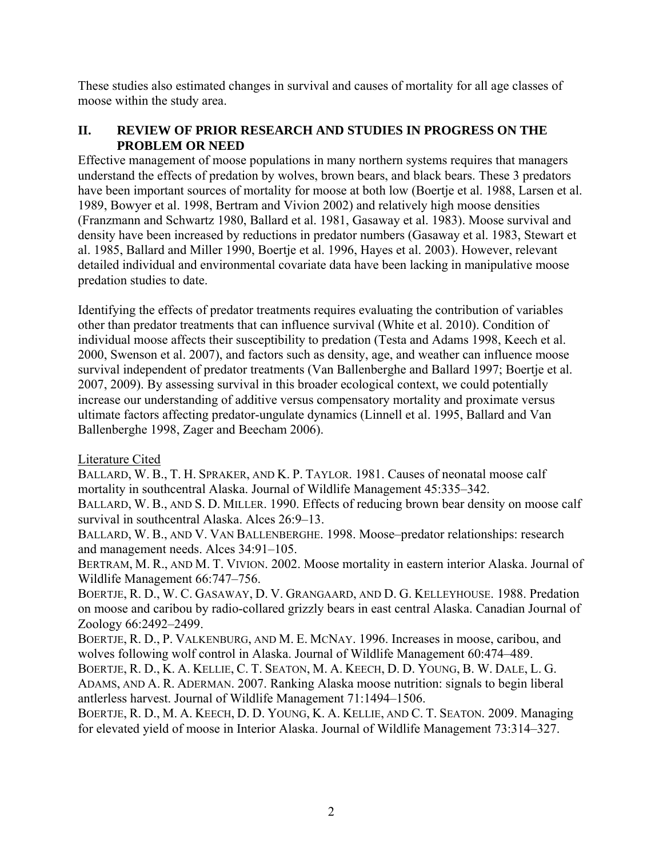These studies also estimated changes in survival and causes of mortality for all age classes of moose within the study area.

## **II. REVIEW OF PRIOR RESEARCH AND STUDIES IN PROGRESS ON THE PROBLEM OR NEED**

Effective management of moose populations in many northern systems requires that managers understand the effects of predation by wolves, brown bears, and black bears. These 3 predators have been important sources of mortality for moose at both low (Boertje et al. 1988, Larsen et al. 1989, Bowyer et al. 1998, Bertram and Vivion 2002) and relatively high moose densities (Franzmann and Schwartz 1980, Ballard et al. 1981, Gasaway et al. 1983). Moose survival and density have been increased by reductions in predator numbers (Gasaway et al. 1983, Stewart et al. 1985, Ballard and Miller 1990, Boertje et al. 1996, Hayes et al. 2003). However, relevant detailed individual and environmental covariate data have been lacking in manipulative moose predation studies to date.

Identifying the effects of predator treatments requires evaluating the contribution of variables other than predator treatments that can influence survival (White et al. 2010). Condition of individual moose affects their susceptibility to predation (Testa and Adams 1998, Keech et al. 2000, Swenson et al. 2007), and factors such as density, age, and weather can influence moose survival independent of predator treatments (Van Ballenberghe and Ballard 1997; Boertje et al. 2007, 2009). By assessing survival in this broader ecological context, we could potentially increase our understanding of additive versus compensatory mortality and proximate versus ultimate factors affecting predator-ungulate dynamics (Linnell et al. 1995, Ballard and Van Ballenberghe 1998, Zager and Beecham 2006).

Literature Cited

BALLARD, W. B., T. H. SPRAKER, AND K. P. TAYLOR. 1981. Causes of neonatal moose calf mortality in southcentral Alaska. Journal of Wildlife Management 45:335–342.

BALLARD, W. B., AND S. D. MILLER. 1990. Effects of reducing brown bear density on moose calf survival in southcentral Alaska. Alces 26:9–13.

BALLARD, W. B., AND V. VAN BALLENBERGHE. 1998. Moose–predator relationships: research and management needs. Alces 34:91–105.

BERTRAM, M. R., AND M. T. VIVION. 2002. Moose mortality in eastern interior Alaska. Journal of Wildlife Management 66:747–756.

BOERTJE, R. D., W. C. GASAWAY, D. V. GRANGAARD, AND D. G. KELLEYHOUSE. 1988. Predation on moose and caribou by radio-collared grizzly bears in east central Alaska. Canadian Journal of Zoology 66:2492–2499.

BOERTJE, R. D., P. VALKENBURG, AND M. E. MCNAY. 1996. Increases in moose, caribou, and wolves following wolf control in Alaska. Journal of Wildlife Management 60:474–489.

BOERTJE, R. D., K. A. KELLIE, C. T. SEATON, M. A. KEECH, D. D. YOUNG, B. W. DALE, L. G. ADAMS, AND A. R. ADERMAN. 2007. Ranking Alaska moose nutrition: signals to begin liberal antlerless harvest. Journal of Wildlife Management 71:1494–1506.

BOERTJE, R. D., M. A. KEECH, D. D. YOUNG, K. A. KELLIE, AND C. T. SEATON. 2009. Managing for elevated yield of moose in Interior Alaska. Journal of Wildlife Management 73:314–327.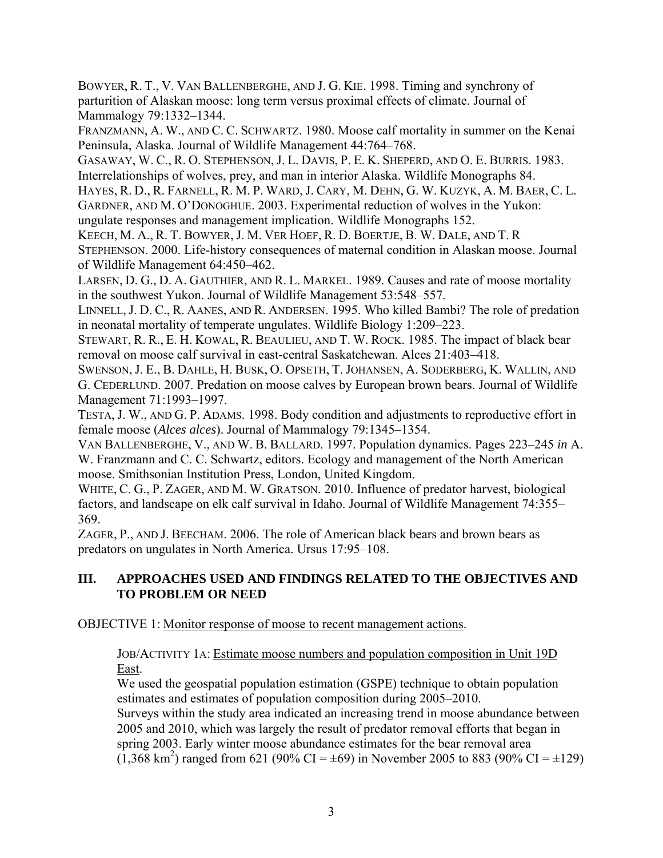BOWYER, R. T., V. VAN BALLENBERGHE, AND J. G. KIE. 1998. Timing and synchrony of parturition of Alaskan moose: long term versus proximal effects of climate. Journal of Mammalogy 79:1332–1344.

FRANZMANN, A. W., AND C. C. SCHWARTZ. 1980. Moose calf mortality in summer on the Kenai Peninsula, Alaska. Journal of Wildlife Management 44:764–768.

GASAWAY, W. C., R. O. STEPHENSON, J. L. DAVIS, P. E. K. SHEPERD, AND O. E. BURRIS. 1983. Interrelationships of wolves, prey, and man in interior Alaska. Wildlife Monographs 84.

HAYES, R. D., R. FARNELL, R. M. P. WARD, J. CARY, M. DEHN, G. W. KUZYK, A. M. BAER, C. L. GARDNER, AND M. O'DONOGHUE. 2003. Experimental reduction of wolves in the Yukon: ungulate responses and management implication. Wildlife Monographs 152.

KEECH, M. A., R. T. BOWYER, J. M. VER HOEF, R. D. BOERTJE, B. W. DALE, AND T. R STEPHENSON. 2000. Life-history consequences of maternal condition in Alaskan moose. Journal of Wildlife Management 64:450–462.

LARSEN, D. G., D. A. GAUTHIER, AND R. L. MARKEL. 1989. Causes and rate of moose mortality in the southwest Yukon. Journal of Wildlife Management 53:548–557.

LINNELL, J. D. C., R. AANES, AND R. ANDERSEN. 1995. Who killed Bambi? The role of predation in neonatal mortality of temperate ungulates. Wildlife Biology 1:209–223.

STEWART, R. R., E. H. KOWAL, R. BEAULIEU, AND T. W. ROCK. 1985. The impact of black bear removal on moose calf survival in east-central Saskatchewan. Alces 21:403–418.

SWENSON, J. E., B. DAHLE, H. BUSK, O. OPSETH, T. JOHANSEN, A. SODERBERG, K. WALLIN, AND G. CEDERLUND. 2007. Predation on moose calves by European brown bears. Journal of Wildlife Management 71:1993–1997.

TESTA, J. W., AND G. P. ADAMS. 1998. Body condition and adjustments to reproductive effort in female moose (*Alces alces*). Journal of Mammalogy 79:1345–1354.

VAN BALLENBERGHE, V., AND W. B. BALLARD. 1997. Population dynamics. Pages 223–245 *in* A. W. Franzmann and C. C. Schwartz, editors. Ecology and management of the North American moose. Smithsonian Institution Press, London, United Kingdom.

WHITE, C. G., P. ZAGER, AND M. W. GRATSON. 2010. Influence of predator harvest, biological factors, and landscape on elk calf survival in Idaho. Journal of Wildlife Management 74:355– 369.

ZAGER, P., AND J. BEECHAM. 2006. The role of American black bears and brown bears as predators on ungulates in North America. Ursus 17:95–108.

# **III. APPROACHES USED AND FINDINGS RELATED TO THE OBJECTIVES AND TO PROBLEM OR NEED**

OBJECTIVE 1: Monitor response of moose to recent management actions.

JOB/ACTIVITY 1A: Estimate moose numbers and population composition in Unit 19D East.

We used the geospatial population estimation (GSPE) technique to obtain population estimates and estimates of population composition during 2005–2010. Surveys within the study area indicated an increasing trend in moose abundance between 2005 and 2010, which was largely the result of predator removal efforts that began in spring 2003. Early winter moose abundance estimates for the bear removal area  $(1,368 \text{ km}^2)$  ranged from 621 (90% CI = ±69) in November 2005 to 883 (90% CI = ±129)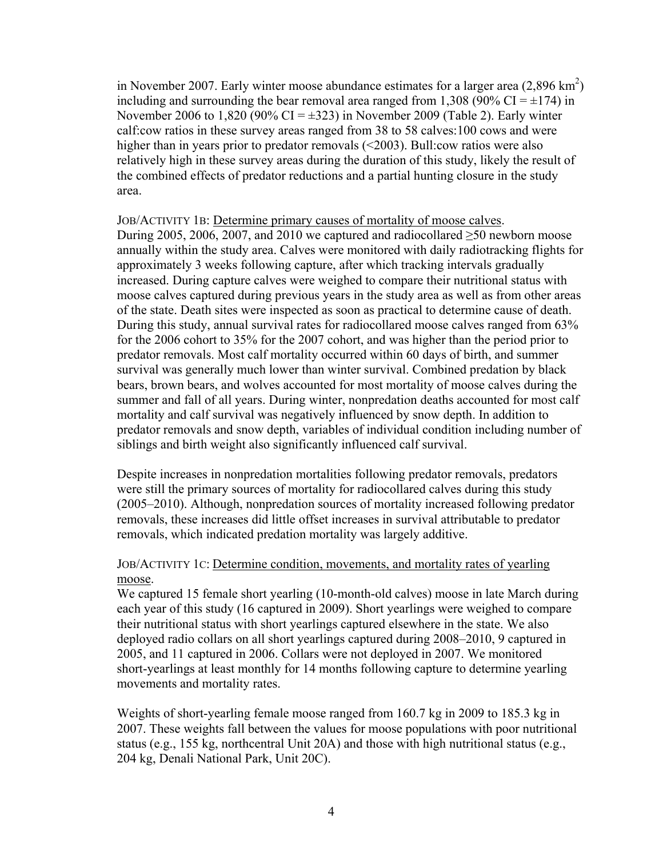in November 2007. Early winter moose abundance estimates for a larger area  $(2,896 \text{ km}^2)$ including and surrounding the bear removal area ranged from 1,308 (90% CI =  $\pm$ 174) in November 2006 to 1,820 (90% CI =  $\pm$ 323) in November 2009 (Table 2). Early winter calf:cow ratios in these survey areas ranged from 38 to 58 calves:100 cows and were higher than in years prior to predator removals (<2003). Bull:cow ratios were also relatively high in these survey areas during the duration of this study, likely the result of the combined effects of predator reductions and a partial hunting closure in the study area.

#### JOB/ACTIVITY 1B: Determine primary causes of mortality of moose calves.

During 2005, 2006, 2007, and 2010 we captured and radiocollared  $\geq 50$  newborn moose annually within the study area. Calves were monitored with daily radiotracking flights for approximately 3 weeks following capture, after which tracking intervals gradually increased. During capture calves were weighed to compare their nutritional status with moose calves captured during previous years in the study area as well as from other areas of the state. Death sites were inspected as soon as practical to determine cause of death. During this study, annual survival rates for radiocollared moose calves ranged from 63% for the 2006 cohort to 35% for the 2007 cohort, and was higher than the period prior to predator removals. Most calf mortality occurred within 60 days of birth, and summer survival was generally much lower than winter survival. Combined predation by black bears, brown bears, and wolves accounted for most mortality of moose calves during the summer and fall of all years. During winter, nonpredation deaths accounted for most calf mortality and calf survival was negatively influenced by snow depth. In addition to predator removals and snow depth, variables of individual condition including number of siblings and birth weight also significantly influenced calf survival.

Despite increases in nonpredation mortalities following predator removals, predators were still the primary sources of mortality for radiocollared calves during this study (2005–2010). Although, nonpredation sources of mortality increased following predator removals, these increases did little offset increases in survival attributable to predator removals, which indicated predation mortality was largely additive.

#### JOB/ACTIVITY 1C: Determine condition, movements, and mortality rates of yearling moose.

We captured 15 female short yearling (10-month-old calves) moose in late March during each year of this study (16 captured in 2009). Short yearlings were weighed to compare their nutritional status with short yearlings captured elsewhere in the state. We also deployed radio collars on all short yearlings captured during 2008–2010, 9 captured in 2005, and 11 captured in 2006. Collars were not deployed in 2007. We monitored short-yearlings at least monthly for 14 months following capture to determine yearling movements and mortality rates.

Weights of short-yearling female moose ranged from 160.7 kg in 2009 to 185.3 kg in 2007. These weights fall between the values for moose populations with poor nutritional status (e.g., 155 kg, northcentral Unit 20A) and those with high nutritional status (e.g., 204 kg, Denali National Park, Unit 20C).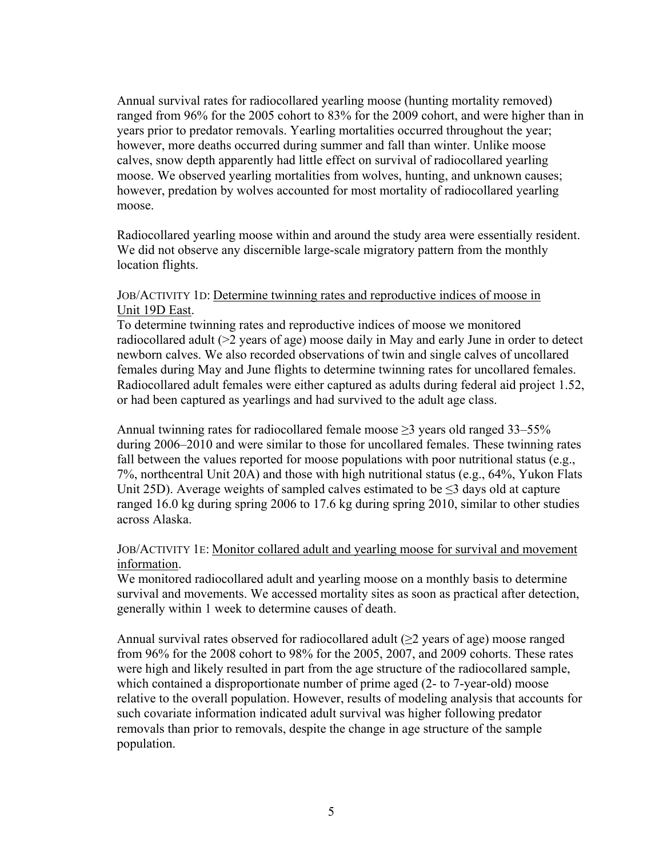Annual survival rates for radiocollared yearling moose (hunting mortality removed) ranged from 96% for the 2005 cohort to 83% for the 2009 cohort, and were higher than in years prior to predator removals. Yearling mortalities occurred throughout the year; however, more deaths occurred during summer and fall than winter. Unlike moose calves, snow depth apparently had little effect on survival of radiocollared yearling moose. We observed yearling mortalities from wolves, hunting, and unknown causes; however, predation by wolves accounted for most mortality of radiocollared yearling moose.

Radiocollared yearling moose within and around the study area were essentially resident. We did not observe any discernible large-scale migratory pattern from the monthly location flights.

#### JOB/ACTIVITY 1D: Determine twinning rates and reproductive indices of moose in Unit 19D East.

To determine twinning rates and reproductive indices of moose we monitored radiocollared adult (>2 years of age) moose daily in May and early June in order to detect newborn calves. We also recorded observations of twin and single calves of uncollared females during May and June flights to determine twinning rates for uncollared females. Radiocollared adult females were either captured as adults during federal aid project 1.52, or had been captured as yearlings and had survived to the adult age class.

Annual twinning rates for radiocollared female moose  $\geq$ 3 years old ranged 33–55% during 2006–2010 and were similar to those for uncollared females. These twinning rates fall between the values reported for moose populations with poor nutritional status (e.g., 7%, northcentral Unit 20A) and those with high nutritional status (e.g., 64%, Yukon Flats Unit 25D). Average weights of sampled calves estimated to be  $\leq$ 3 days old at capture ranged 16.0 kg during spring 2006 to 17.6 kg during spring 2010, similar to other studies across Alaska.

#### JOB/ACTIVITY 1E: Monitor collared adult and yearling moose for survival and movement information.

We monitored radiocollared adult and yearling moose on a monthly basis to determine survival and movements. We accessed mortality sites as soon as practical after detection, generally within 1 week to determine causes of death.

Annual survival rates observed for radiocollared adult  $(\geq 2)$  years of age) moose ranged from 96% for the 2008 cohort to 98% for the 2005, 2007, and 2009 cohorts. These rates were high and likely resulted in part from the age structure of the radiocollared sample, which contained a disproportionate number of prime aged (2- to 7-year-old) moose relative to the overall population. However, results of modeling analysis that accounts for such covariate information indicated adult survival was higher following predator removals than prior to removals, despite the change in age structure of the sample population.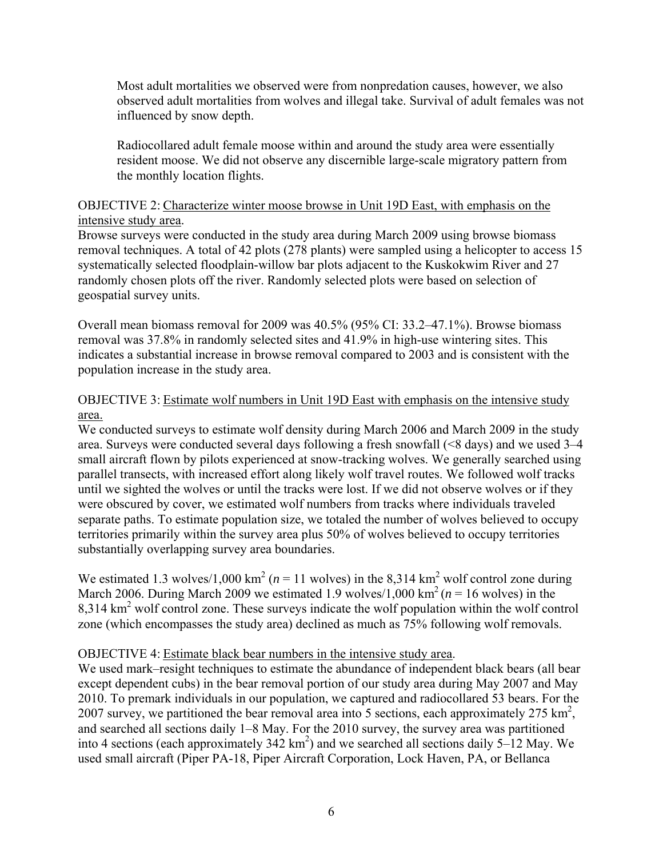Most adult mortalities we observed were from nonpredation causes, however, we also observed adult mortalities from wolves and illegal take. Survival of adult females was not influenced by snow depth.

Radiocollared adult female moose within and around the study area were essentially resident moose. We did not observe any discernible large-scale migratory pattern from the monthly location flights.

#### OBJECTIVE 2: Characterize winter moose browse in Unit 19D East, with emphasis on the intensive study area.

Browse surveys were conducted in the study area during March 2009 using browse biomass removal techniques. A total of 42 plots (278 plants) were sampled using a helicopter to access 15 systematically selected floodplain-willow bar plots adjacent to the Kuskokwim River and 27 randomly chosen plots off the river. Randomly selected plots were based on selection of geospatial survey units.

Overall mean biomass removal for 2009 was 40.5% (95% CI: 33.2–47.1%). Browse biomass removal was 37.8% in randomly selected sites and 41.9% in high-use wintering sites. This indicates a substantial increase in browse removal compared to 2003 and is consistent with the population increase in the study area.

# OBJECTIVE 3: Estimate wolf numbers in Unit 19D East with emphasis on the intensive study area.

We conducted surveys to estimate wolf density during March 2006 and March 2009 in the study area. Surveys were conducted several days following a fresh snowfall (<8 days) and we used 3–4 small aircraft flown by pilots experienced at snow-tracking wolves. We generally searched using parallel transects, with increased effort along likely wolf travel routes. We followed wolf tracks until we sighted the wolves or until the tracks were lost. If we did not observe wolves or if they were obscured by cover, we estimated wolf numbers from tracks where individuals traveled separate paths. To estimate population size, we totaled the number of wolves believed to occupy territories primarily within the survey area plus 50% of wolves believed to occupy territories substantially overlapping survey area boundaries.

We estimated 1.3 wolves/1,000 km<sup>2</sup> ( $n = 11$  wolves) in the 8,314 km<sup>2</sup> wolf control zone during March 2006. During March 2009 we estimated 1.9 wolves/1,000 km<sup>2</sup> ( $n = 16$  wolves) in the 8,314 km<sup>2</sup> wolf control zone. These surveys indicate the wolf population within the wolf control zone (which encompasses the study area) declined as much as 75% following wolf removals.

## OBJECTIVE 4: Estimate black bear numbers in the intensive study area.

We used mark–resight techniques to estimate the abundance of independent black bears (all bear except dependent cubs) in the bear removal portion of our study area during May 2007 and May 2010. To premark individuals in our population, we captured and radiocollared 53 bears. For the 2007 survey, we partitioned the bear removal area into 5 sections, each approximately  $275 \text{ km}^2$ , and searched all sections daily 1–8 May. For the 2010 survey, the survey area was partitioned into 4 sections (each approximately  $342 \text{ km}^2$ ) and we searched all sections daily 5–12 May. We used small aircraft (Piper PA-18, Piper Aircraft Corporation, Lock Haven, PA, or Bellanca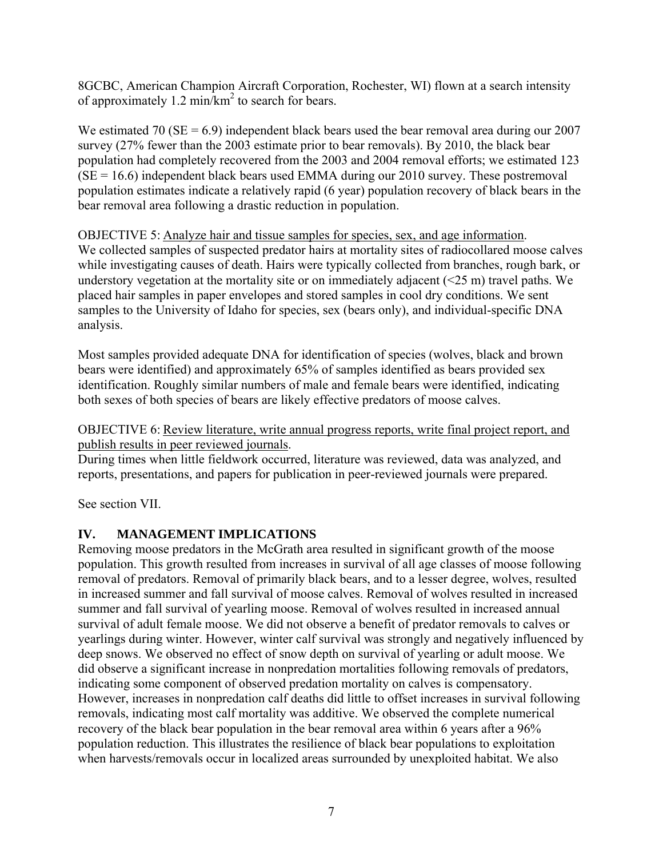8GCBC, American Champion Aircraft Corporation, Rochester, WI) flown at a search intensity of approximately  $1.2 \text{ min/km}^2$  to search for bears.

We estimated 70 ( $SE = 6.9$ ) independent black bears used the bear removal area during our 2007 survey (27% fewer than the 2003 estimate prior to bear removals). By 2010, the black bear population had completely recovered from the 2003 and 2004 removal efforts; we estimated 123  $(SE = 16.6)$  independent black bears used EMMA during our 2010 survey. These postremoval population estimates indicate a relatively rapid (6 year) population recovery of black bears in the bear removal area following a drastic reduction in population.

OBJECTIVE 5: Analyze hair and tissue samples for species, sex, and age information. We collected samples of suspected predator hairs at mortality sites of radiocollared moose calves while investigating causes of death. Hairs were typically collected from branches, rough bark, or understory vegetation at the mortality site or on immediately adjacent  $(\leq 25 \text{ m})$  travel paths. We placed hair samples in paper envelopes and stored samples in cool dry conditions. We sent samples to the University of Idaho for species, sex (bears only), and individual-specific DNA analysis.

Most samples provided adequate DNA for identification of species (wolves, black and brown bears were identified) and approximately 65% of samples identified as bears provided sex identification. Roughly similar numbers of male and female bears were identified, indicating both sexes of both species of bears are likely effective predators of moose calves.

OBJECTIVE 6: Review literature, write annual progress reports, write final project report, and publish results in peer reviewed journals.

During times when little fieldwork occurred, literature was reviewed, data was analyzed, and reports, presentations, and papers for publication in peer-reviewed journals were prepared.

See section VII.

## **IV. MANAGEMENT IMPLICATIONS**

Removing moose predators in the McGrath area resulted in significant growth of the moose population. This growth resulted from increases in survival of all age classes of moose following removal of predators. Removal of primarily black bears, and to a lesser degree, wolves, resulted in increased summer and fall survival of moose calves. Removal of wolves resulted in increased summer and fall survival of yearling moose. Removal of wolves resulted in increased annual survival of adult female moose. We did not observe a benefit of predator removals to calves or yearlings during winter. However, winter calf survival was strongly and negatively influenced by deep snows. We observed no effect of snow depth on survival of yearling or adult moose. We did observe a significant increase in nonpredation mortalities following removals of predators, indicating some component of observed predation mortality on calves is compensatory. However, increases in nonpredation calf deaths did little to offset increases in survival following removals, indicating most calf mortality was additive. We observed the complete numerical recovery of the black bear population in the bear removal area within 6 years after a 96% population reduction. This illustrates the resilience of black bear populations to exploitation when harvests/removals occur in localized areas surrounded by unexploited habitat. We also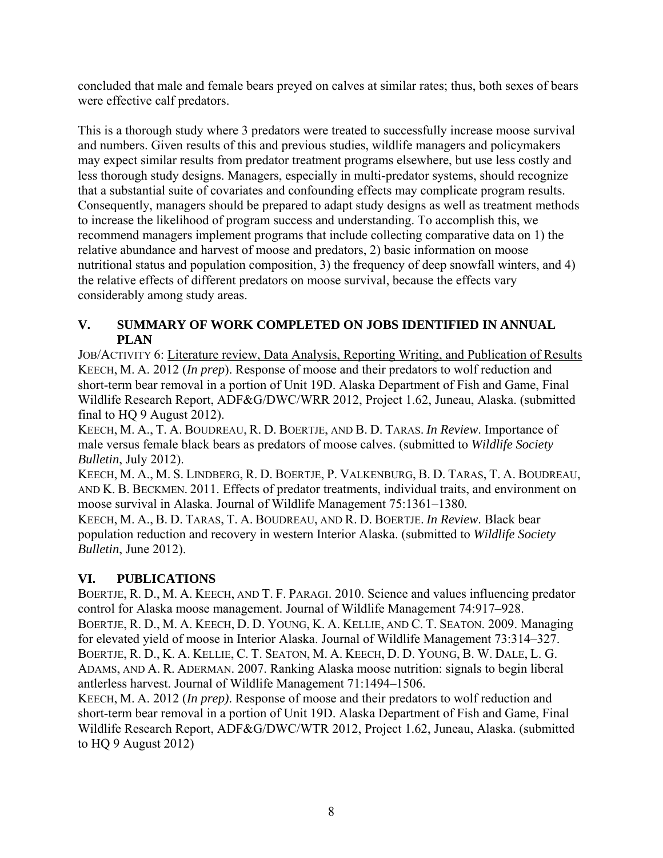concluded that male and female bears preyed on calves at similar rates; thus, both sexes of bears were effective calf predators.

This is a thorough study where 3 predators were treated to successfully increase moose survival and numbers. Given results of this and previous studies, wildlife managers and policymakers may expect similar results from predator treatment programs elsewhere, but use less costly and less thorough study designs. Managers, especially in multi-predator systems, should recognize that a substantial suite of covariates and confounding effects may complicate program results. Consequently, managers should be prepared to adapt study designs as well as treatment methods to increase the likelihood of program success and understanding. To accomplish this, we recommend managers implement programs that include collecting comparative data on 1) the relative abundance and harvest of moose and predators, 2) basic information on moose nutritional status and population composition, 3) the frequency of deep snowfall winters, and 4) the relative effects of different predators on moose survival, because the effects vary considerably among study areas.

# **V. SUMMARY OF WORK COMPLETED ON JOBS IDENTIFIED IN ANNUAL PLAN**

JOB/ACTIVITY 6: Literature review, Data Analysis, Reporting Writing, and Publication of Results KEECH, M. A. 2012 (*In prep*). Response of moose and their predators to wolf reduction and short-term bear removal in a portion of Unit 19D. Alaska Department of Fish and Game, Final Wildlife Research Report, ADF&G/DWC/WRR 2012, Project 1.62, Juneau, Alaska. (submitted final to HQ 9 August 2012).

KEECH, M. A., T. A. BOUDREAU, R. D. BOERTJE, AND B. D. TARAS. *In Review*. Importance of male versus female black bears as predators of moose calves. (submitted to *Wildlife Society Bulletin*, July 2012).

KEECH, M. A., M. S. LINDBERG, R. D. BOERTJE, P. VALKENBURG, B. D. TARAS, T. A. BOUDREAU, AND K. B. BECKMEN. 2011. Effects of predator treatments, individual traits, and environment on moose survival in Alaska. Journal of Wildlife Management 75:1361–1380*.* 

KEECH, M. A., B. D. TARAS, T. A. BOUDREAU, AND R. D. BOERTJE. *In Review*. Black bear population reduction and recovery in western Interior Alaska. (submitted to *Wildlife Society Bulletin*, June 2012).

# **VI. PUBLICATIONS**

BOERTJE, R. D., M. A. KEECH, AND T. F. PARAGI. 2010. Science and values influencing predator control for Alaska moose management. Journal of Wildlife Management 74:917–928. BOERTJE, R. D., M. A. KEECH, D. D. YOUNG, K. A. KELLIE, AND C. T. SEATON. 2009. Managing for elevated yield of moose in Interior Alaska. Journal of Wildlife Management 73:314–327. BOERTJE, R. D., K. A. KELLIE, C. T. SEATON, M. A. KEECH, D. D. YOUNG, B. W. DALE, L. G. ADAMS, AND A. R. ADERMAN. 2007. Ranking Alaska moose nutrition: signals to begin liberal antlerless harvest. Journal of Wildlife Management 71:1494–1506.

KEECH, M. A. 2012 (*In prep)*. Response of moose and their predators to wolf reduction and short-term bear removal in a portion of Unit 19D. Alaska Department of Fish and Game, Final Wildlife Research Report, ADF&G/DWC/WTR 2012, Project 1.62, Juneau, Alaska. (submitted to HQ 9 August 2012)